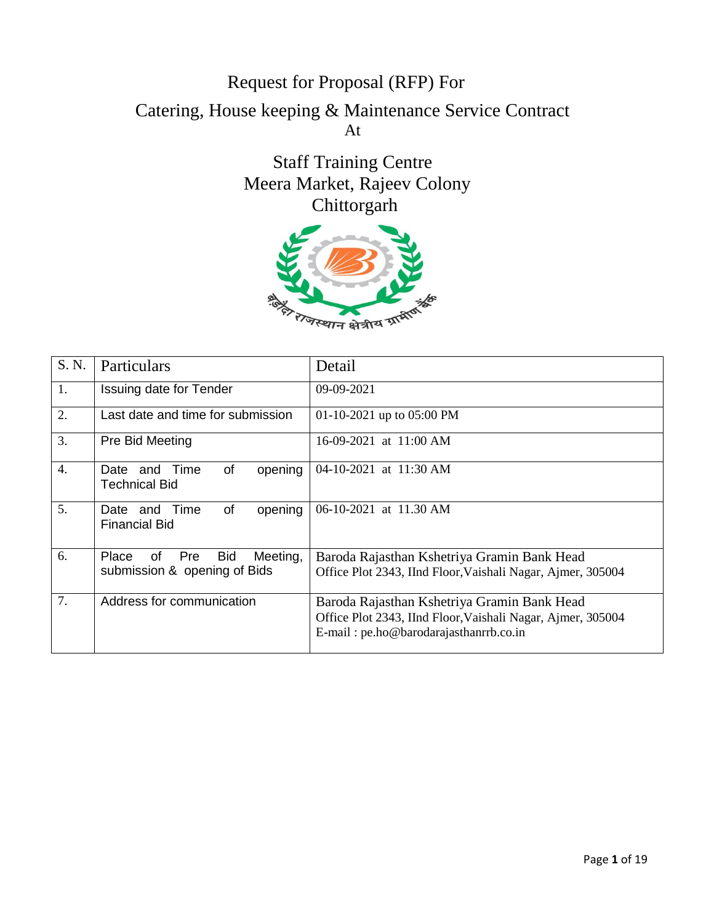# Request for Proposal (RFP) For Catering, House keeping & Maintenance Service Contract At

Staff Training Centre Meera Market, Rajeev Colony Chittorgarh



| S. N.            | Particulars                                                                  | Detail                                                                                                                                               |
|------------------|------------------------------------------------------------------------------|------------------------------------------------------------------------------------------------------------------------------------------------------|
| 1.               | <b>Issuing date for Tender</b>                                               | 09-09-2021                                                                                                                                           |
| 2.               | Last date and time for submission                                            | 01-10-2021 up to $05:00 \text{ PM}$                                                                                                                  |
| 3.               | Pre Bid Meeting                                                              | 16-09-2021 at 11:00 AM                                                                                                                               |
| $\overline{4}$ . | of<br>Date and Time<br>opening<br>Technical Bid                              | 04-10-2021 at 11:30 AM                                                                                                                               |
| 5.               | of<br>opening<br>Date and Time<br><b>Financial Bid</b>                       | 06-10-2021 at 11.30 AM                                                                                                                               |
| 6.               | Pre<br><b>Bid</b><br>Place<br>Meeting,<br>of<br>submission & opening of Bids | Baroda Rajasthan Kshetriya Gramin Bank Head<br>Office Plot 2343, IInd Floor, Vaishali Nagar, Ajmer, 305004                                           |
| 7.               | Address for communication                                                    | Baroda Rajasthan Kshetriya Gramin Bank Head<br>Office Plot 2343, IInd Floor, Vaishali Nagar, Ajmer, 305004<br>E-mail: pe.ho@barodarajasthanrrb.co.in |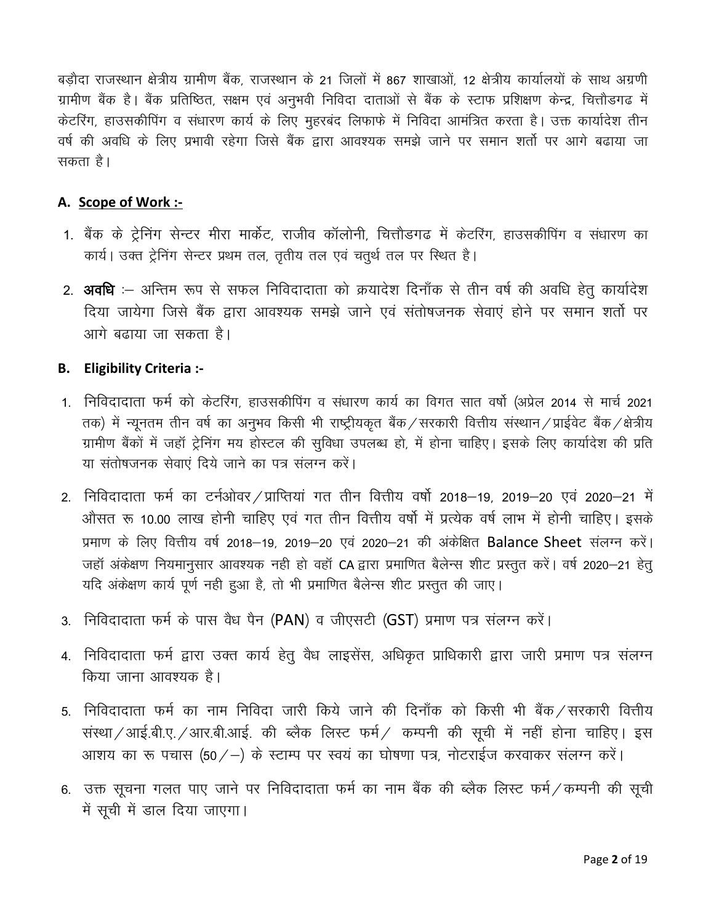बड़ौदा राजस्थान क्षेत्रीय ग्रामीण बैंक, राजस्थान के 21 जिलों में 867 शाखाओं, 12 क्षेत्रीय कार्यालयों के साथ अग्रणी ग्रामीण बैंक है। बैंक प्रतिष्ठित, सक्षम एवं अनुभवी निविदा दाताओं से बैंक के स्टाफ प्रशिक्षण केन्द्र, चित्तौडगढ में केटरिंग, हाउसकीपिंग व संधारण कार्य के लिए मुहरबंद लिफाफे में निविदा आमंत्रित करता है। उक्त कार्यादेश तीन वर्ष की अवधि के लिए प्रभावी रहेगा जिसे बैंक द्वारा आवश्यक समझे जाने पर समान शर्तो पर आगे बढाया जा सकता है।

## A. Scope of Work :-

- 1. बैंक के ट्रेनिंग सेन्टर मीरा मार्केट, राजीव कॉलोनी, चित्तौडगढ में केटरिंग, हाउसकीपिंग व संधारण का कार्य। उक्त ट्रेनिंग सेन्टर प्रथम तल, तृतीय तल एवं चतुर्थ तल पर स्थित है।
- 2. **अवधि** :– अन्तिम रूप से सफल निविदादाता को क्रयादेश दिनाँक से तीन वर्ष की अवधि हेतु कार्यादेश दिया जायेगा जिसे बैंक द्वारा आवश्यक समझे जाने एवं संतोषजनक सेवाएं होने पर समान शर्तो पर आगे बढाया जा सकता है।

## B. Eligibility Criteria :-

- 1. निविदादाता फर्म को केटरिंग, हाउसकीपिंग व संधारण कार्य का विगत सात वर्षो (अप्रेल 2014 से मार्च 2021 तक) में न्यूनतम तीन वर्ष का अनुभव किसी भी राष्ट्रीयकृत बैंक / सरकारी वित्तीय संस्थान / प्राईवेट बैंक / क्षेत्रीय ग्रामीण बैंकों में जहाँ ट्रेनिंग मय होस्टल की सुविधा उपलब्ध हो, में होना चाहिए। इसके लिए कार्यादेश की प्रति या संतोषजनक सेवाएं दिये जाने का पत्र संलग्न करें।
- 2. निविदादाता फर्म का टर्नओवर / प्राप्तियां गत तीन वित्तीय वर्षो 2018–19, 2019–20 एवं 2020–21 में औसत रू 10.00 लाख होनी चाहिए एवं गत तीन वित्तीय वर्षो में प्रत्येक वर्ष लाभ में होनी चाहिए। इसके प्रमाण के लिए वित्तीय वर्ष 2018–19, 2019–20 एवं 2020–21 की अंकेक्षित Balance Sheet संलग्न करें। जहाँ अंकेक्षण नियमानुसार आवश्यक नही हो वहाँ CA द्वारा प्रमाणित बैलेन्स शीट प्रस्तुत करें। वर्ष 2020–21 हेत् यदि अंकेक्षण कार्य पूर्ण नही हुआ है, तो भी प्रमाणित बैलेन्स शीट प्रस्तुत की जाए।
- 3. निविदादाता फर्म के पास वैध पैन (PAN) व जीएसटी (GST) प्रमाण पत्र संलग्न करें।
- 4. निविदादाता फर्म द्वारा उक्त कार्य हेतु वैध लाइसेंस, अधिकृत प्राधिकारी द्वारा जारी प्रमाण पत्र संलग्न किया जाना आवश्यक है।
- 5. निविदादाता फर्म का नाम निविदा जारी किये जाने की दिनाँक को किसी भी बैंक / सरकारी वित्तीय संस्था / आई.बी.ए. / आर.बी.आई. की ब्लैक लिस्ट फर्म / कम्पनी की सूची में नहीं होना चाहिए। इस आशय का रू पचास (50 / -) के स्टाम्प पर स्वयं का घोषणा पत्र, नोटराईज करवाकर संलग्न करें।
- 6. उक्त सूचना गलत पाए जाने पर निविदादाता फर्म का नाम बैंक की ब्लैक लिस्ट फर्म/कम्पनी की सूची में सूची में डाल दिया जाएगा।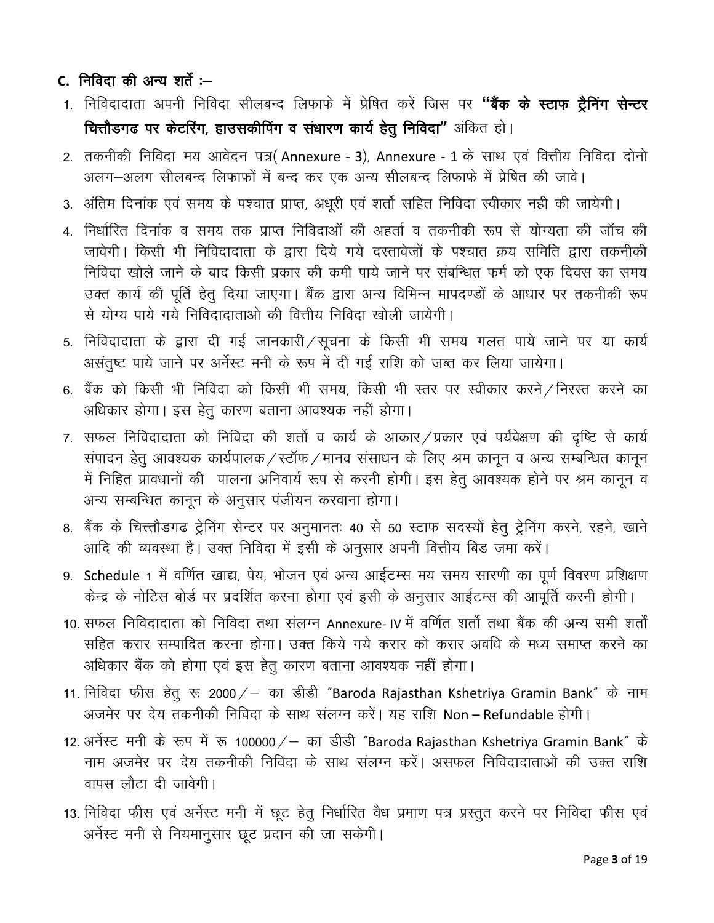# C. निविदा की अन्य शर्ते :--

- 1. निविदादाता अपनी निविदा सीलबन्द लिफाफे में प्रेषित करें जिस पर **''बैंक के स्टाफ ट्रैनिंग सेन्टर** चित्तौडगढ पर केटरिंग, हाउसकीपिंग व संधारण कार्य हेतू निविदा" अंकित हो।
- 2. तकनीकी निविदा मय आवेदन पत्र(Annexure 3), Annexure 1 के साथ एवं वित्तीय निविदा दोनो अलग-अलग सीलबन्द लिफाफों में बन्द कर एक अन्य सीलबन्द लिफाफे में प्रेषित की जावे।
- 3. अंतिम दिनांक एवं समय के पश्चात प्राप्त, अधूरी एवं शर्तो सहित निविदा स्वीकार नही की जायेगी।
- 4. निर्धारित दिनांक व समय तक प्राप्त निविदाओं की अहर्ता व तकनीकी रूप से योग्यता की जाँच की जावेगी। किसी भी निविदादाता के द्वारा दिये गये दस्तावेजों के पश्चात क्रय समिति द्वारा तकनीकी निविदा खोले जाने के बाद किसी प्रकार की कमी पाये जाने पर संबन्धित फर्म को एक दिवस का समय उक्त कार्य की पूर्ति हेतू दिया जाएगा। बैंक द्वारा अन्य विभिन्न मापदण्डों के आधार पर तकनीकी रूप से योग्य पाये गये निविदादाताओं की वित्तीय निविदा खोली जायेगी।
- 5. निविदादाता के द्वारा दी गई जानकारी / सूचना के किसी भी समय गलत पाये जाने पर या कार्य असंतुष्ट पाये जाने पर अर्नेस्ट मनी के रूप में दी गई राशि को जब्त कर लिया जायेगा।
- 6. बैंक को किसी भी निविदा को किसी भी समय, किसी भी स्तर पर स्वीकार करने / निरस्त करने का अधिकार होगा। इस हेतु कारण बताना आवश्यक नहीं होगा।
- 7. सफल निविदादाता को निविदा की शर्तो व कार्य के आकार / प्रकार एवं पर्यवेक्षण की दृष्टि से कार्य संपादन हेतू आवश्यक कार्यपालक / स्टॉफ / मानव संसाधन के लिए श्रम कानून व अन्य सम्बन्धित कानून में निहित प्रावधानों की पालना अनिवार्य रूप से करनी होगी। इस हेतु आवश्यक होने पर श्रम कानून व अन्य सम्बन्धित कानून के अनुसार पंजीयन करवाना होगा।
- 8. बैंक के चित्त्तौडगढ ट्रेनिंग सेन्टर पर अनुमानतः 40 से 50 स्टाफ सदस्यों हेतू ट्रेनिंग करने, रहने, खाने आदि की व्यवस्था है। उक्त निविदा में इसी के अनुसार अपनी वित्तीय बिड जमा करें।
- 9. Schedule 1 में वर्णित खाद्य, पेय, भोजन एवं अन्य आईटम्स मय समय सारणी का पूर्ण विवरण प्रशिक्षण केन्द्र के नोटिस बोर्ड पर प्रदर्शित करना होगा एवं इसी के अनुसार आईटम्स की आपूर्ति करनी होगी।
- 10. सफल निविदादाता को निविदा तथा संलग्न Annexure-IV में वर्णित शर्तो तथा बैंक की अन्य सभी शर्तों सहित करार सम्पादित करना होगा। उक्त किये गये करार को करार अवधि के मध्य समाप्त करने का अधिकार बैंक को होगा एवं इस हेतु कारण बताना आवश्यक नहीं होगा।
- 11. निविदा फीस हेत् रू 2000 / का डीडी "Baroda Rajasthan Kshetriya Gramin Bank" के नाम अजमेर पर देय तकनीकी निविदा के साथ संलग्न करें। यह राशि Non – Refundable होगी।
- 12. अर्नेस्ट मनी के रूप में रू 100000 / का डीडी "Baroda Rajasthan Kshetriya Gramin Bank" के नाम अजमेर पर देय तकनीकी निविदा के साथ संलग्न करें। असफल निविदादाताओ की उक्त राशि वापस लौटा दी जावेगी।
- 13. निविदा फीस एवं अर्नेस्ट मनी में छूट हेतू निर्धारित वैध प्रमाण पत्र प्रस्तुत करने पर निविदा फीस एवं अर्नेस्ट मनी से नियमानुसार छूट प्रदान की जा सकेगी।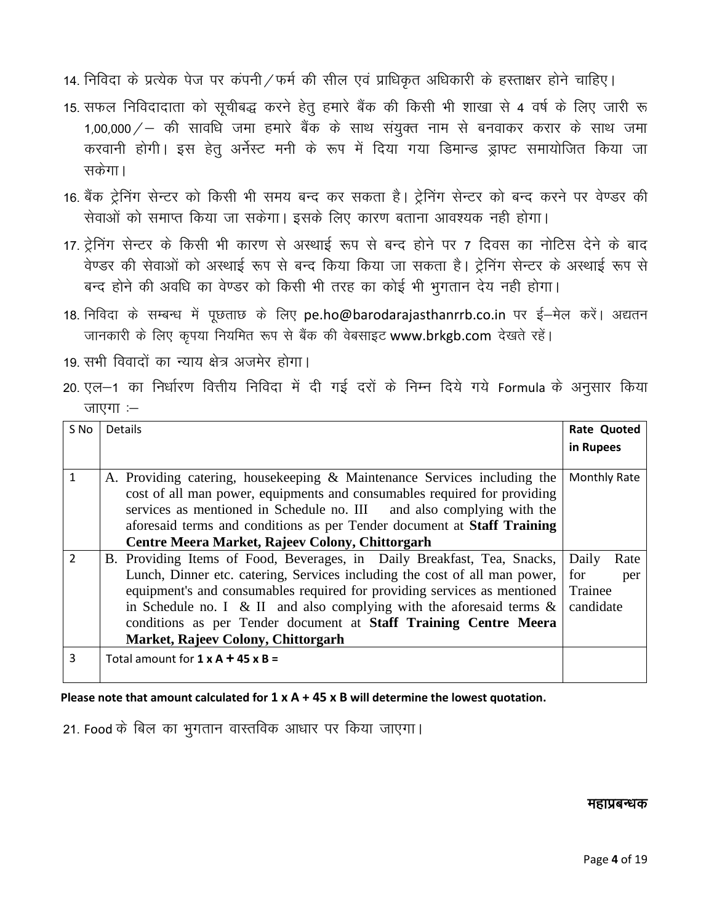- 14. निविदा के प्रत्येक पेज पर कंपनी / फर्म की सील एवं प्राधिकृत अधिकारी के हस्ताक्षर होने चाहिए।
- 15. सफल निविदादाता को सूचीबद्ध करने हेतू हमारे बैंक की किसी भी शाखा से 4 वर्ष के लिए जारी रू  $1,00,000$  / – की सावधि जमा हमारे बैंक के साथ संयुक्त नाम से बनवाकर करार के साथ जमा करवानी होगी। इस हेतु अर्नेस्ट मनी के रूप में दिया गया डिमान्ड ड्राफ्ट समायोजित किया जा सकेगा।
- 16. बैंक ट्रेनिंग सेन्टर को किसी भी समय बन्द कर सकता है। ट्रेनिंग सेन्टर को बन्द करने पर वेण्डर की सेवाओं को समाप्त किया जा सकेगा। इसके लिए कारण बताना आवश्यक नही होगा।
- 17. ट्रेनिंग सेन्टर के किसी भी कारण से अस्थाई रूप से बन्द होने पर 7 दिवस का नोटिस देने के बाद वेण्डर की सेवाओं को अस्थाई रूप से बन्द किया किया जा सकता है। ट्रेनिंग सेन्टर के अस्थाई रूप से बन्द होने की अवधि का वेण्डर को किसी भी तरह का कोई भी भुगतान देय नही होगा।
- 18. निविदा के सम्बन्ध में पूछताछ के लिए pe.ho@barodarajasthanrrb.co.in पर ई—मेल करें। अद्यतन जानकारी के लिए कृपया नियमित रूप से बैंक की वेबसाइट www.brkgb.com देखते रहें।
- 19 सभी विवादों का न्याय क्षेत्र अजमेर होगा।
- 20. एल-1 का निर्धारण वित्तीय निविदा में दी गई दरों के निम्न दिये गये Formula के अनुसार किया जाएगा :-

| S <sub>No</sub> | <b>Details</b>                                                             | Rate Quoted         |
|-----------------|----------------------------------------------------------------------------|---------------------|
|                 |                                                                            | in Rupees           |
|                 |                                                                            |                     |
| 1               | A. Providing catering, housekeeping & Maintenance Services including the   | <b>Monthly Rate</b> |
|                 | cost of all man power, equipments and consumables required for providing   |                     |
|                 | services as mentioned in Schedule no. III and also complying with the      |                     |
|                 | aforesaid terms and conditions as per Tender document at Staff Training    |                     |
|                 | Centre Meera Market, Rajeev Colony, Chittorgarh                            |                     |
| $\overline{2}$  | B. Providing Items of Food, Beverages, in Daily Breakfast, Tea, Snacks,    | Daily<br>Rate       |
|                 | Lunch, Dinner etc. catering, Services including the cost of all man power, | for<br>per          |
|                 | equipment's and consumables required for providing services as mentioned   | Trainee             |
|                 | in Schedule no. I & II and also complying with the aforesaid terms $\&$    | candidate           |
|                 | conditions as per Tender document at Staff Training Centre Meera           |                     |
|                 | Market, Rajeev Colony, Chittorgarh                                         |                     |
| 3               | Total amount for $1 \times A + 45 \times B =$                              |                     |
|                 |                                                                            |                     |

Please note that amount calculated for  $1 \times A + 45 \times B$  will determine the lowest quotation.

21. Food के बिल का भुगतान वास्तविक आधार पर किया जाएगा।

#### महाप्रबन्धक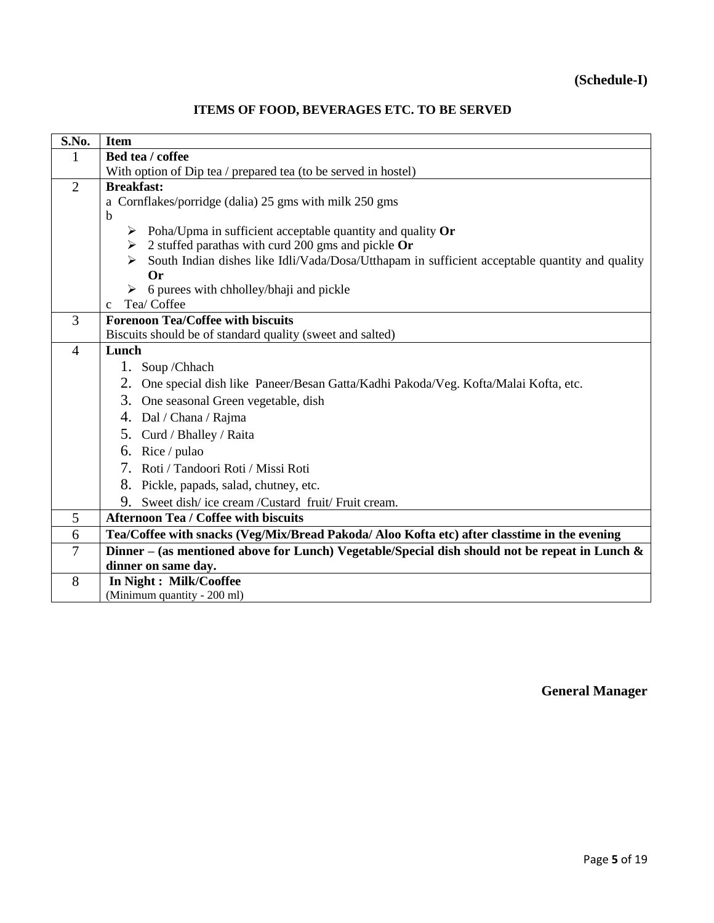| S.No.          | <b>Item</b>                                                                                         |  |  |
|----------------|-----------------------------------------------------------------------------------------------------|--|--|
| 1              | Bed tea / coffee                                                                                    |  |  |
|                | With option of Dip tea / prepared tea (to be served in hostel)                                      |  |  |
| $\overline{2}$ | <b>Breakfast:</b>                                                                                   |  |  |
|                | a Cornflakes/porridge (dalia) 25 gms with milk 250 gms                                              |  |  |
|                | b                                                                                                   |  |  |
|                | $\triangleright$ Poha/Upma in sufficient acceptable quantity and quality Or                         |  |  |
|                | $\geq$ 2 stuffed parathas with curd 200 gms and pickle Or                                           |  |  |
|                | South Indian dishes like Idli/Vada/Dosa/Utthapam in sufficient acceptable quantity and quality<br>➤ |  |  |
|                | <b>Or</b>                                                                                           |  |  |
|                | 6 purees with chholley/bhaji and pickle                                                             |  |  |
|                | Tea/ Coffee<br>$\mathcal{C}$                                                                        |  |  |
| 3              | <b>Forenoon Tea/Coffee with biscuits</b>                                                            |  |  |
|                | Biscuits should be of standard quality (sweet and salted)                                           |  |  |
| $\overline{4}$ | Lunch                                                                                               |  |  |
|                | 1. Soup / Chhach                                                                                    |  |  |
|                | 2. One special dish like Paneer/Besan Gatta/Kadhi Pakoda/Veg. Kofta/Malai Kofta, etc.               |  |  |
|                | 3. One seasonal Green vegetable, dish                                                               |  |  |
|                | 4. Dal / Chana / Rajma                                                                              |  |  |
|                | 5. Curd / Bhalley / Raita                                                                           |  |  |
|                | 6. Rice / pulao                                                                                     |  |  |
|                | 7. Roti / Tandoori Roti / Missi Roti                                                                |  |  |
|                | 8. Pickle, papads, salad, chutney, etc.                                                             |  |  |
|                | 9. Sweet dish/ice cream /Custard fruit/ Fruit cream.                                                |  |  |
| 5              | <b>Afternoon Tea / Coffee with biscuits</b>                                                         |  |  |
| 6              | Tea/Coffee with snacks (Veg/Mix/Bread Pakoda/ Aloo Kofta etc) after classtime in the evening        |  |  |
| $\overline{7}$ | Dinner – (as mentioned above for Lunch) Vegetable/Special dish should not be repeat in Lunch &      |  |  |
|                | dinner on same day.                                                                                 |  |  |
| 8              | In Night: Milk/Cooffee                                                                              |  |  |
|                | (Minimum quantity - 200 ml)                                                                         |  |  |

# **ITEMS OF FOOD, BEVERAGES ETC. TO BE SERVED**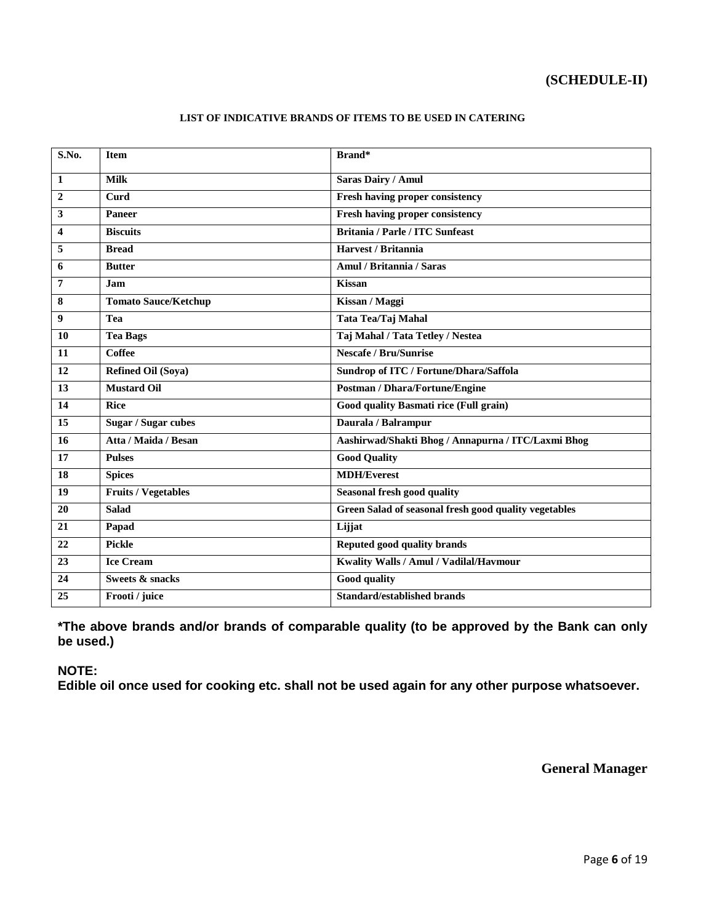## **(SCHEDULE-II)**

| S.No. | <b>Item</b>                 | <b>Brand*</b>                                         |
|-------|-----------------------------|-------------------------------------------------------|
| 1     | <b>Milk</b>                 | <b>Saras Dairy / Amul</b>                             |
| 2     | Curd                        | Fresh having proper consistency                       |
| 3     | Paneer                      | <b>Fresh having proper consistency</b>                |
| 4     | <b>Biscuits</b>             | <b>Britania / Parle / ITC Sunfeast</b>                |
| 5     | <b>Bread</b>                | Harvest / Britannia                                   |
| 6     | <b>Butter</b>               | Amul / Britannia / Saras                              |
| 7     | Jam                         | <b>Kissan</b>                                         |
| 8     | <b>Tomato Sauce/Ketchup</b> | Kissan / Maggi                                        |
| 9     | <b>Tea</b>                  | Tata Tea/Taj Mahal                                    |
| 10    | <b>Tea Bags</b>             | Taj Mahal / Tata Tetley / Nestea                      |
| 11    | <b>Coffee</b>               | <b>Nescafe / Bru/Sunrise</b>                          |
| 12    | <b>Refined Oil (Soya)</b>   | Sundrop of ITC / Fortune/Dhara/Saffola                |
| 13    | <b>Mustard Oil</b>          | <b>Postman / Dhara/Fortune/Engine</b>                 |
| 14    | <b>Rice</b>                 | Good quality Basmati rice (Full grain)                |
| 15    | <b>Sugar / Sugar cubes</b>  | Daurala / Balrampur                                   |
| 16    | Atta / Maida / Besan        | Aashirwad/Shakti Bhog / Annapurna / ITC/Laxmi Bhog    |
| 17    | <b>Pulses</b>               | <b>Good Quality</b>                                   |
| 18    | <b>Spices</b>               | <b>MDH/Everest</b>                                    |
| 19    | <b>Fruits / Vegetables</b>  | <b>Seasonal fresh good quality</b>                    |
| 20    | <b>Salad</b>                | Green Salad of seasonal fresh good quality vegetables |
| 21    | Papad                       | Lijjat                                                |
| 22    | <b>Pickle</b>               | Reputed good quality brands                           |
| 23    | <b>Ice Cream</b>            | Kwality Walls / Amul / Vadilal/Havmour                |
| 24    | <b>Sweets &amp; snacks</b>  | Good quality                                          |
| 25    | Frooti / juice              | <b>Standard/established brands</b>                    |

#### **LIST OF INDICATIVE BRANDS OF ITEMS TO BE USED IN CATERING**

**\*The above brands and/or brands of comparable quality (to be approved by the Bank can only be used.)**

#### **NOTE:**

**Edible oil once used for cooking etc. shall not be used again for any other purpose whatsoever.**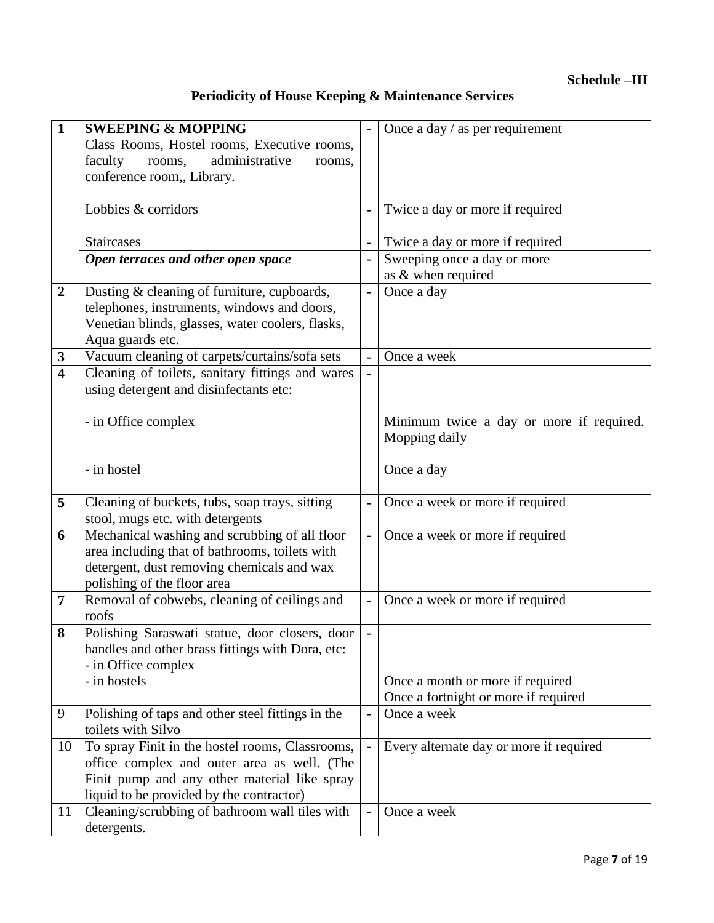# **Periodicity of House Keeping & Maintenance Services**

| $\mathbf{1}$            | <b>SWEEPING &amp; MOPPING</b>                     |                          | Once a day / as per requirement          |
|-------------------------|---------------------------------------------------|--------------------------|------------------------------------------|
|                         | Class Rooms, Hostel rooms, Executive rooms,       |                          |                                          |
|                         | administrative<br>faculty<br>rooms,<br>rooms,     |                          |                                          |
|                         |                                                   |                          |                                          |
|                         | conference room,, Library.                        |                          |                                          |
|                         | Lobbies & corridors                               |                          | Twice a day or more if required          |
|                         | <b>Staircases</b>                                 |                          | Twice a day or more if required          |
|                         | Open terraces and other open space                |                          | Sweeping once a day or more              |
|                         |                                                   |                          | as & when required                       |
| $\boldsymbol{2}$        | Dusting & cleaning of furniture, cupboards,       |                          | Once a day                               |
|                         | telephones, instruments, windows and doors,       |                          |                                          |
|                         | Venetian blinds, glasses, water coolers, flasks,  |                          |                                          |
|                         | Aqua guards etc.                                  |                          |                                          |
| 3                       | Vacuum cleaning of carpets/curtains/sofa sets     |                          | Once a week                              |
| $\overline{\mathbf{4}}$ | Cleaning of toilets, sanitary fittings and wares  |                          |                                          |
|                         | using detergent and disinfectants etc:            |                          |                                          |
|                         |                                                   |                          |                                          |
|                         | - in Office complex                               |                          | Minimum twice a day or more if required. |
|                         |                                                   |                          | Mopping daily                            |
|                         |                                                   |                          |                                          |
|                         | - in hostel                                       |                          | Once a day                               |
|                         |                                                   |                          |                                          |
| 5                       | Cleaning of buckets, tubs, soap trays, sitting    |                          | Once a week or more if required          |
|                         | stool, mugs etc. with detergents                  |                          |                                          |
| 6                       | Mechanical washing and scrubbing of all floor     |                          | Once a week or more if required          |
|                         | area including that of bathrooms, toilets with    |                          |                                          |
|                         | detergent, dust removing chemicals and wax        |                          |                                          |
|                         | polishing of the floor area                       |                          |                                          |
| $\overline{7}$          | Removal of cobwebs, cleaning of ceilings and      |                          | Once a week or more if required          |
|                         | roofs                                             |                          |                                          |
| 8                       | Polishing Saraswati statue, door closers, door    |                          |                                          |
|                         | handles and other brass fittings with Dora, etc:  |                          |                                          |
|                         | - in Office complex                               |                          |                                          |
|                         | - in hostels                                      |                          | Once a month or more if required         |
|                         |                                                   |                          | Once a fortnight or more if required     |
| 9                       | Polishing of taps and other steel fittings in the | $\overline{\phantom{a}}$ | Once a week                              |
|                         | toilets with Silvo                                |                          |                                          |
| 10                      | To spray Finit in the hostel rooms, Classrooms,   |                          | Every alternate day or more if required  |
|                         | office complex and outer area as well. (The       |                          |                                          |
|                         | Finit pump and any other material like spray      |                          |                                          |
|                         | liquid to be provided by the contractor)          |                          |                                          |
| 11                      | Cleaning/scrubbing of bathroom wall tiles with    |                          | Once a week                              |
|                         | detergents.                                       |                          |                                          |
|                         |                                                   |                          |                                          |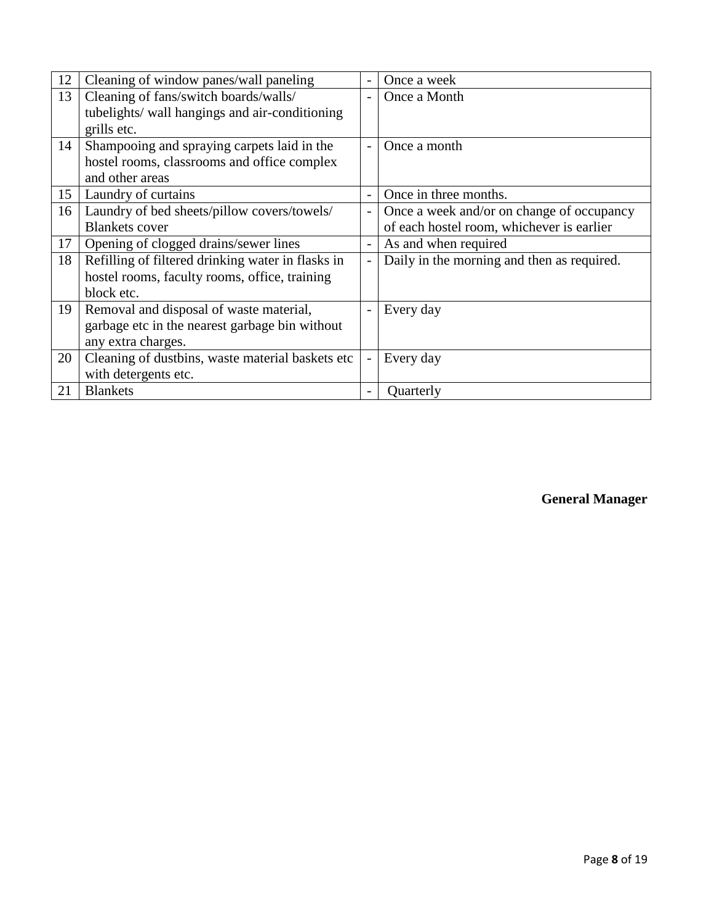| 12 | Cleaning of window panes/wall paneling            |                          | Once a week                                |
|----|---------------------------------------------------|--------------------------|--------------------------------------------|
| 13 | Cleaning of fans/switch boards/walls/             |                          | Once a Month                               |
|    | tubelights/ wall hangings and air-conditioning    |                          |                                            |
|    | grills etc.                                       |                          |                                            |
| 14 | Shampooing and spraying carpets laid in the       | $\qquad \qquad$          | Once a month                               |
|    | hostel rooms, classrooms and office complex       |                          |                                            |
|    | and other areas                                   |                          |                                            |
| 15 | Laundry of curtains                               | $\overline{\phantom{a}}$ | Once in three months.                      |
| 16 | Laundry of bed sheets/pillow covers/towels/       | $\overline{\phantom{a}}$ | Once a week and/or on change of occupancy  |
|    | <b>Blankets</b> cover                             |                          | of each hostel room, whichever is earlier  |
| 17 | Opening of clogged drains/sewer lines             |                          | As and when required                       |
| 18 | Refilling of filtered drinking water in flasks in | $\overline{\phantom{a}}$ | Daily in the morning and then as required. |
|    | hostel rooms, faculty rooms, office, training     |                          |                                            |
|    | block etc.                                        |                          |                                            |
| 19 | Removal and disposal of waste material,           |                          | Every day                                  |
|    | garbage etc in the nearest garbage bin without    |                          |                                            |
|    | any extra charges.                                |                          |                                            |
| 20 | Cleaning of dustbins, waste material baskets etc  |                          | Every day                                  |
|    | with detergents etc.                              |                          |                                            |
| 21 | <b>Blankets</b>                                   |                          | Quarterly                                  |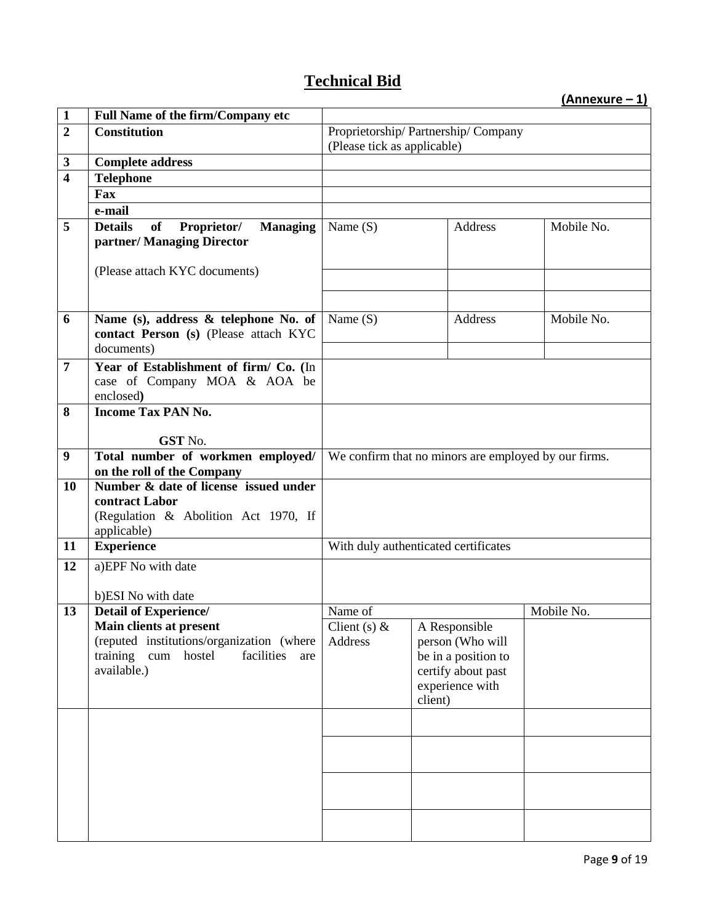# **Technical Bid**

 **(Annexure – 1)**

| $\mathbf{1}$            | Full Name of the firm/Company etc                                                           |                                                      |                                         |            |  |
|-------------------------|---------------------------------------------------------------------------------------------|------------------------------------------------------|-----------------------------------------|------------|--|
| $\overline{2}$          | <b>Constitution</b>                                                                         |                                                      | Proprietorship/ Partnership/ Company    |            |  |
|                         |                                                                                             |                                                      | (Please tick as applicable)             |            |  |
| $\mathbf{3}$            | <b>Complete address</b>                                                                     |                                                      |                                         |            |  |
| $\overline{\mathbf{4}}$ | <b>Telephone</b>                                                                            |                                                      |                                         |            |  |
|                         | Fax                                                                                         |                                                      |                                         |            |  |
|                         | e-mail                                                                                      |                                                      |                                         |            |  |
| 5                       | <b>Details</b><br>of<br><b>Proprietor/</b><br><b>Managing</b><br>partner/Managing Director  | Name $(S)$                                           | Address                                 | Mobile No. |  |
|                         | (Please attach KYC documents)                                                               |                                                      |                                         |            |  |
|                         |                                                                                             |                                                      |                                         |            |  |
| 6                       | Name (s), address & telephone No. of<br>contact Person (s) (Please attach KYC<br>documents) | Name $(S)$                                           | Address                                 | Mobile No. |  |
| $\overline{7}$          | Year of Establishment of firm/ Co. (In<br>case of Company MOA & AOA be<br>enclosed)         |                                                      |                                         |            |  |
| 8                       | <b>Income Tax PAN No.</b>                                                                   |                                                      |                                         |            |  |
|                         |                                                                                             |                                                      |                                         |            |  |
|                         | GST No.                                                                                     |                                                      |                                         |            |  |
| 9                       | Total number of workmen employed/<br>on the roll of the Company                             | We confirm that no minors are employed by our firms. |                                         |            |  |
| 10                      | Number & date of license issued under                                                       |                                                      |                                         |            |  |
|                         | contract Labor<br>(Regulation & Abolition Act 1970, If<br>applicable)                       |                                                      |                                         |            |  |
| 11                      | <b>Experience</b>                                                                           |                                                      | With duly authenticated certificates    |            |  |
| 12                      | a)EPF No with date                                                                          |                                                      |                                         |            |  |
|                         |                                                                                             |                                                      |                                         |            |  |
|                         | b)ESI No with date                                                                          |                                                      |                                         |            |  |
| 13                      | <b>Detail of Experience/</b>                                                                | Name of                                              |                                         | Mobile No. |  |
|                         | Main clients at present                                                                     | Client (s) $\&$                                      | A Responsible                           |            |  |
|                         | (reputed institutions/organization (where<br>training cum hostel<br>facilities<br>are       | Address                                              | person (Who will<br>be in a position to |            |  |
|                         | available.)                                                                                 |                                                      | certify about past                      |            |  |
|                         |                                                                                             |                                                      | experience with                         |            |  |
|                         |                                                                                             |                                                      | client)                                 |            |  |
|                         |                                                                                             |                                                      |                                         |            |  |
|                         |                                                                                             |                                                      |                                         |            |  |
|                         |                                                                                             |                                                      |                                         |            |  |
|                         |                                                                                             |                                                      |                                         |            |  |
|                         |                                                                                             |                                                      |                                         |            |  |
|                         |                                                                                             |                                                      |                                         |            |  |
|                         |                                                                                             |                                                      |                                         |            |  |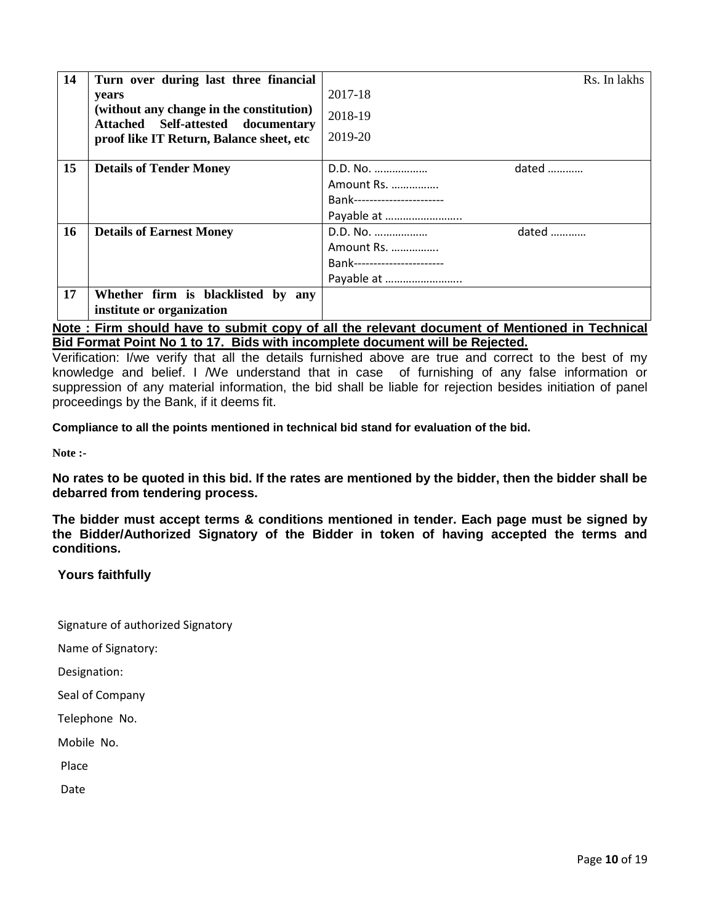| 14 | Turn over during last three financial                                          |                              | Rs. In lakhs |
|----|--------------------------------------------------------------------------------|------------------------------|--------------|
|    | years                                                                          | 2017-18                      |              |
|    | (without any change in the constitution)<br>Attached Self-attested documentary | 2018-19                      |              |
|    | proof like IT Return, Balance sheet, etc                                       | 2019-20                      |              |
|    |                                                                                |                              |              |
| 15 | <b>Details of Tender Money</b>                                                 | D.D. No.                     | dated        |
|    |                                                                                | Amount Rs.                   |              |
|    |                                                                                | Bank------------------------ |              |
|    |                                                                                | Payable at                   |              |
| 16 | <b>Details of Earnest Money</b>                                                | D.D. No.                     | $dataed$     |
|    |                                                                                | Amount Rs.                   |              |
|    |                                                                                | Bank------------------------ |              |
|    |                                                                                | Payable at                   |              |
| 17 | Whether firm is blacklisted by any<br>institute or organization                |                              |              |

**Note : Firm should have to submit copy of all the relevant document of Mentioned in Technical Bid Format Point No 1 to 17. Bids with incomplete document will be Rejected.** 

Verification: I/we verify that all the details furnished above are true and correct to the best of my knowledge and belief. I /We understand that in case of furnishing of any false information or suppression of any material information, the bid shall be liable for rejection besides initiation of panel proceedings by the Bank, if it deems fit.

**Compliance to all the points mentioned in technical bid stand for evaluation of the bid.**

**Note :-**

**No rates to be quoted in this bid. If the rates are mentioned by the bidder, then the bidder shall be debarred from tendering process.**

**The bidder must accept terms & conditions mentioned in tender. Each page must be signed by the Bidder/Authorized Signatory of the Bidder in token of having accepted the terms and conditions.**

#### **Yours faithfully**

Signature of authorized Signatory

Name of Signatory:

Designation:

Seal of Company

Telephone No.

Mobile No.

Place

Date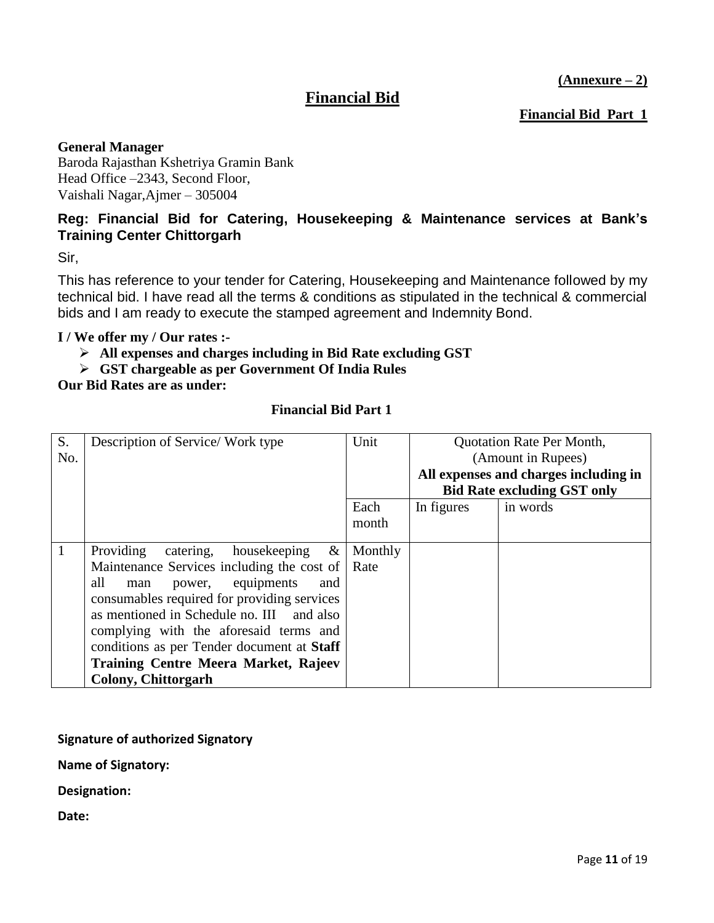**(Annexure – 2)**

# **Financial Bid**

**Financial Bid Part 1**

## **General Manager**

Baroda Rajasthan Kshetriya Gramin Bank Head Office –2343, Second Floor, Vaishali Nagar,Ajmer – 305004

# **Reg: Financial Bid for Catering, Housekeeping & Maintenance services at Bank's Training Center Chittorgarh**

Sir,

This has reference to your tender for Catering, Housekeeping and Maintenance followed by my technical bid. I have read all the terms & conditions as stipulated in the technical & commercial bids and I am ready to execute the stamped agreement and Indemnity Bond.

#### **I / We offer my / Our rates :-**

- **All expenses and charges including in Bid Rate excluding GST**
- **GST chargeable as per Government Of India Rules**

**Our Bid Rates are as under:** 

## **Financial Bid Part 1**

| S.  | Description of Service/Work type                   | Unit    |                    | Quotation Rate Per Month,             |
|-----|----------------------------------------------------|---------|--------------------|---------------------------------------|
| No. |                                                    |         | (Amount in Rupees) |                                       |
|     |                                                    |         |                    | All expenses and charges including in |
|     |                                                    |         |                    | <b>Bid Rate excluding GST only</b>    |
|     |                                                    | Each    | In figures         | in words                              |
|     |                                                    | month   |                    |                                       |
|     |                                                    |         |                    |                                       |
|     | Providing<br>$\alpha$<br>housekeeping<br>catering, | Monthly |                    |                                       |
|     | Maintenance Services including the cost of         | Rate    |                    |                                       |
|     | all<br>power, equipments<br>and<br>man             |         |                    |                                       |
|     | consumables required for providing services        |         |                    |                                       |
|     | as mentioned in Schedule no. III and also          |         |                    |                                       |
|     | complying with the aforesaid terms and             |         |                    |                                       |
|     | conditions as per Tender document at Staff         |         |                    |                                       |
|     | <b>Training Centre Meera Market, Rajeev</b>        |         |                    |                                       |
|     | Colony, Chittorgarh                                |         |                    |                                       |

**Signature of authorized Signatory**

**Name of Signatory:**

**Designation:**

**Date:**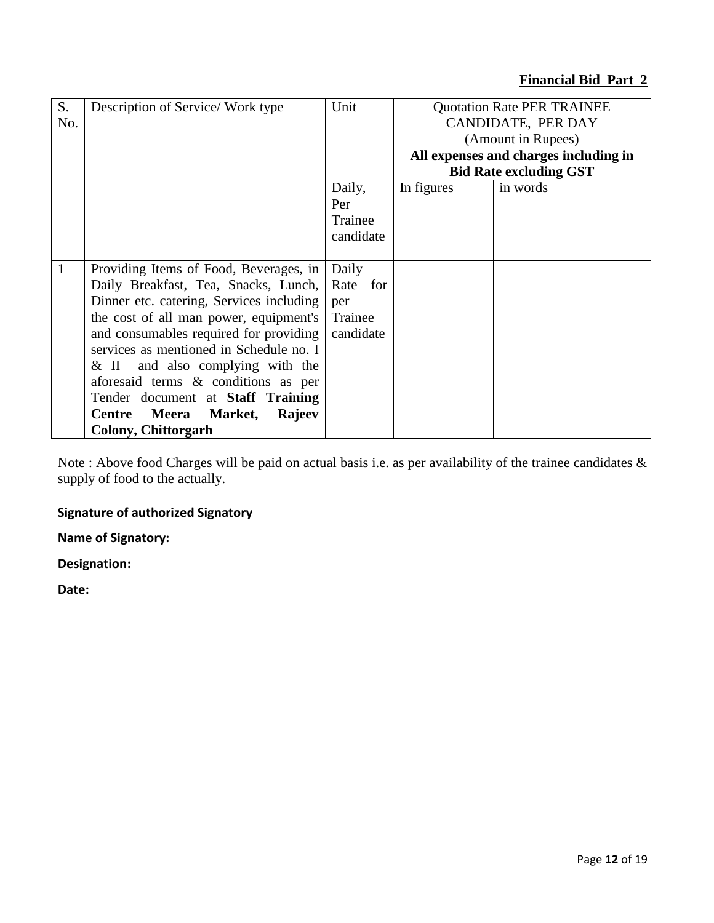## **Financial Bid Part 2**

| S.<br>No.    | Description of Service/Work type                                                                                                                                                                                                                                                                                                                                                                                                                                | Unit                                                | <b>Quotation Rate PER TRAINEE</b><br>CANDIDATE, PER DAY<br>(Amount in Rupees)<br>All expenses and charges including in |                               |
|--------------|-----------------------------------------------------------------------------------------------------------------------------------------------------------------------------------------------------------------------------------------------------------------------------------------------------------------------------------------------------------------------------------------------------------------------------------------------------------------|-----------------------------------------------------|------------------------------------------------------------------------------------------------------------------------|-------------------------------|
|              |                                                                                                                                                                                                                                                                                                                                                                                                                                                                 |                                                     |                                                                                                                        | <b>Bid Rate excluding GST</b> |
|              |                                                                                                                                                                                                                                                                                                                                                                                                                                                                 | Daily,<br>Per<br>Trainee<br>candidate               | In figures                                                                                                             | in words                      |
| $\mathbf{1}$ | Providing Items of Food, Beverages, in<br>Daily Breakfast, Tea, Snacks, Lunch,<br>Dinner etc. catering, Services including<br>the cost of all man power, equipment's<br>and consumables required for providing<br>services as mentioned in Schedule no. I<br>and also complying with the<br>$\&\amalg$<br>aforesaid terms & conditions as per<br>Tender document at Staff Training<br>Meera<br><b>Market,</b><br>Rajeev<br><b>Centre</b><br>Colony, Chittorgarh | Daily<br>Rate<br>for<br>per<br>Trainee<br>candidate |                                                                                                                        |                               |

Note : Above food Charges will be paid on actual basis i.e. as per availability of the trainee candidates & supply of food to the actually.

## **Signature of authorized Signatory**

**Name of Signatory:**

**Designation:**

**Date:**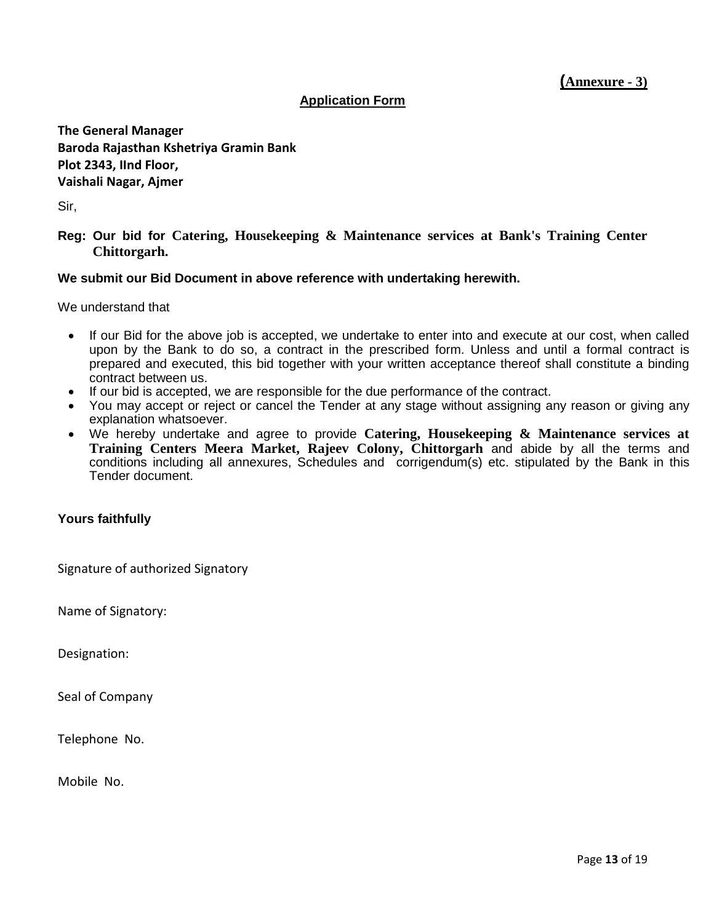**(Annexure - 3)**

#### **Application Form**

**The General Manager Baroda Rajasthan Kshetriya Gramin Bank Plot 2343, IInd Floor, Vaishali Nagar, Ajmer**

Sir,

#### **Reg: Our bid for Catering, Housekeeping & Maintenance services at Bank's Training Center Chittorgarh.**

#### **We submit our Bid Document in above reference with undertaking herewith.**

We understand that

- If our Bid for the above job is accepted, we undertake to enter into and execute at our cost, when called upon by the Bank to do so, a contract in the prescribed form. Unless and until a formal contract is prepared and executed, this bid together with your written acceptance thereof shall constitute a binding contract between us.
- If our bid is accepted, we are responsible for the due performance of the contract.
- You may accept or reject or cancel the Tender at any stage without assigning any reason or giving any explanation whatsoever.
- We hereby undertake and agree to provide **Catering, Housekeeping & Maintenance services at Training Centers Meera Market, Rajeev Colony, Chittorgarh** and abide by all the terms and conditions including all annexures, Schedules and corrigendum(s) etc. stipulated by the Bank in this Tender document.

#### **Yours faithfully**

Signature of authorized Signatory

Name of Signatory:

Designation:

Seal of Company

Telephone No.

Mobile No.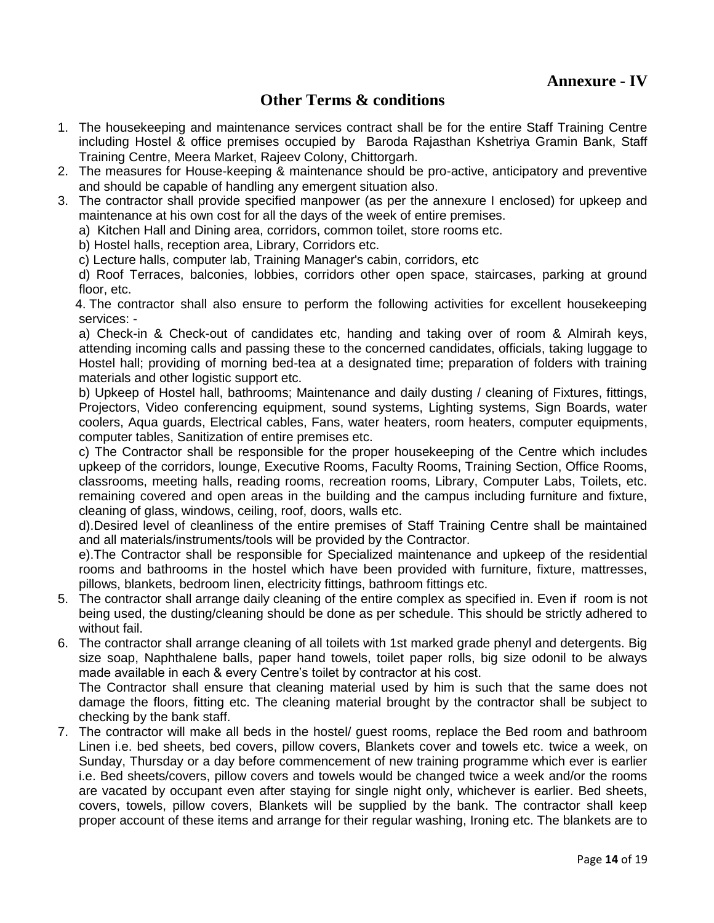# **Other Terms & conditions**

- 1. The housekeeping and maintenance services contract shall be for the entire Staff Training Centre including Hostel & office premises occupied by Baroda Rajasthan Kshetriya Gramin Bank, Staff Training Centre, Meera Market, Rajeev Colony, Chittorgarh.
- 2. The measures for House-keeping & maintenance should be pro-active, anticipatory and preventive and should be capable of handling any emergent situation also.
- 3. The contractor shall provide specified manpower (as per the annexure I enclosed) for upkeep and maintenance at his own cost for all the days of the week of entire premises.
	- a) Kitchen Hall and Dining area, corridors, common toilet, store rooms etc.
	- b) Hostel halls, reception area, Library, Corridors etc.
	- c) Lecture halls, computer lab, Training Manager's cabin, corridors, etc

d) Roof Terraces, balconies, lobbies, corridors other open space, staircases, parking at ground floor, etc.

4. The contractor shall also ensure to perform the following activities for excellent housekeeping services: -

a) Check-in & Check-out of candidates etc, handing and taking over of room & Almirah keys, attending incoming calls and passing these to the concerned candidates, officials, taking luggage to Hostel hall; providing of morning bed-tea at a designated time; preparation of folders with training materials and other logistic support etc.

b) Upkeep of Hostel hall, bathrooms; Maintenance and daily dusting / cleaning of Fixtures, fittings, Projectors, Video conferencing equipment, sound systems, Lighting systems, Sign Boards, water coolers, Aqua guards, Electrical cables, Fans, water heaters, room heaters, computer equipments, computer tables, Sanitization of entire premises etc.

c) The Contractor shall be responsible for the proper housekeeping of the Centre which includes upkeep of the corridors, lounge, Executive Rooms, Faculty Rooms, Training Section, Office Rooms, classrooms, meeting halls, reading rooms, recreation rooms, Library, Computer Labs, Toilets, etc. remaining covered and open areas in the building and the campus including furniture and fixture, cleaning of glass, windows, ceiling, roof, doors, walls etc.

d).Desired level of cleanliness of the entire premises of Staff Training Centre shall be maintained and all materials/instruments/tools will be provided by the Contractor.

e).The Contractor shall be responsible for Specialized maintenance and upkeep of the residential rooms and bathrooms in the hostel which have been provided with furniture, fixture, mattresses, pillows, blankets, bedroom linen, electricity fittings, bathroom fittings etc.

- 5. The contractor shall arrange daily cleaning of the entire complex as specified in. Even if room is not being used, the dusting/cleaning should be done as per schedule. This should be strictly adhered to without fail.
- 6. The contractor shall arrange cleaning of all toilets with 1st marked grade phenyl and detergents. Big size soap, Naphthalene balls, paper hand towels, toilet paper rolls, big size odonil to be always made available in each & every Centre's toilet by contractor at his cost.

The Contractor shall ensure that cleaning material used by him is such that the same does not damage the floors, fitting etc. The cleaning material brought by the contractor shall be subject to checking by the bank staff.

7. The contractor will make all beds in the hostel/ guest rooms, replace the Bed room and bathroom Linen i.e. bed sheets, bed covers, pillow covers, Blankets cover and towels etc. twice a week, on Sunday, Thursday or a day before commencement of new training programme which ever is earlier i.e. Bed sheets/covers, pillow covers and towels would be changed twice a week and/or the rooms are vacated by occupant even after staying for single night only, whichever is earlier. Bed sheets, covers, towels, pillow covers, Blankets will be supplied by the bank. The contractor shall keep proper account of these items and arrange for their regular washing, Ironing etc. The blankets are to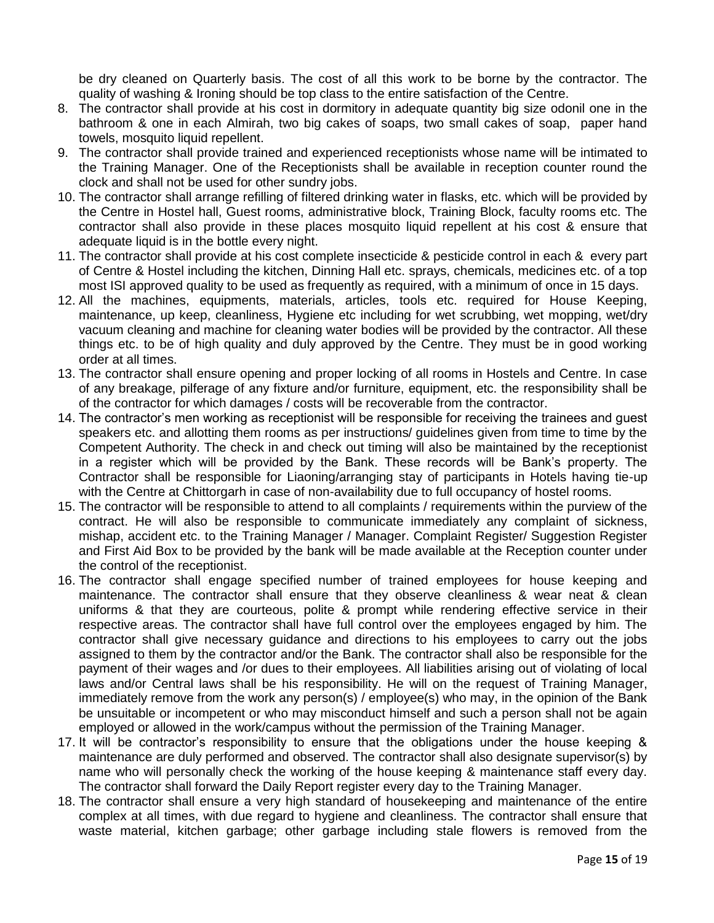be dry cleaned on Quarterly basis. The cost of all this work to be borne by the contractor. The quality of washing & Ironing should be top class to the entire satisfaction of the Centre.

- 8. The contractor shall provide at his cost in dormitory in adequate quantity big size odonil one in the bathroom & one in each Almirah, two big cakes of soaps, two small cakes of soap, paper hand towels, mosquito liquid repellent.
- 9. The contractor shall provide trained and experienced receptionists whose name will be intimated to the Training Manager. One of the Receptionists shall be available in reception counter round the clock and shall not be used for other sundry jobs.
- 10. The contractor shall arrange refilling of filtered drinking water in flasks, etc. which will be provided by the Centre in Hostel hall, Guest rooms, administrative block, Training Block, faculty rooms etc. The contractor shall also provide in these places mosquito liquid repellent at his cost & ensure that adequate liquid is in the bottle every night.
- 11. The contractor shall provide at his cost complete insecticide & pesticide control in each & every part of Centre & Hostel including the kitchen, Dinning Hall etc. sprays, chemicals, medicines etc. of a top most ISI approved quality to be used as frequently as required, with a minimum of once in 15 days.
- 12. All the machines, equipments, materials, articles, tools etc. required for House Keeping, maintenance, up keep, cleanliness, Hygiene etc including for wet scrubbing, wet mopping, wet/dry vacuum cleaning and machine for cleaning water bodies will be provided by the contractor. All these things etc. to be of high quality and duly approved by the Centre. They must be in good working order at all times.
- 13. The contractor shall ensure opening and proper locking of all rooms in Hostels and Centre. In case of any breakage, pilferage of any fixture and/or furniture, equipment, etc. the responsibility shall be of the contractor for which damages / costs will be recoverable from the contractor.
- 14. The contractor's men working as receptionist will be responsible for receiving the trainees and guest speakers etc. and allotting them rooms as per instructions/ guidelines given from time to time by the Competent Authority. The check in and check out timing will also be maintained by the receptionist in a register which will be provided by the Bank. These records will be Bank's property. The Contractor shall be responsible for Liaoning/arranging stay of participants in Hotels having tie-up with the Centre at Chittorgarh in case of non-availability due to full occupancy of hostel rooms.
- 15. The contractor will be responsible to attend to all complaints / requirements within the purview of the contract. He will also be responsible to communicate immediately any complaint of sickness, mishap, accident etc. to the Training Manager / Manager. Complaint Register/ Suggestion Register and First Aid Box to be provided by the bank will be made available at the Reception counter under the control of the receptionist.
- 16. The contractor shall engage specified number of trained employees for house keeping and maintenance. The contractor shall ensure that they observe cleanliness & wear neat & clean uniforms & that they are courteous, polite & prompt while rendering effective service in their respective areas. The contractor shall have full control over the employees engaged by him. The contractor shall give necessary guidance and directions to his employees to carry out the jobs assigned to them by the contractor and/or the Bank. The contractor shall also be responsible for the payment of their wages and /or dues to their employees. All liabilities arising out of violating of local laws and/or Central laws shall be his responsibility. He will on the request of Training Manager, immediately remove from the work any person(s) / employee(s) who may, in the opinion of the Bank be unsuitable or incompetent or who may misconduct himself and such a person shall not be again employed or allowed in the work/campus without the permission of the Training Manager.
- 17. It will be contractor's responsibility to ensure that the obligations under the house keeping & maintenance are duly performed and observed. The contractor shall also designate supervisor(s) by name who will personally check the working of the house keeping & maintenance staff every day. The contractor shall forward the Daily Report register every day to the Training Manager.
- 18. The contractor shall ensure a very high standard of housekeeping and maintenance of the entire complex at all times, with due regard to hygiene and cleanliness. The contractor shall ensure that waste material, kitchen garbage; other garbage including stale flowers is removed from the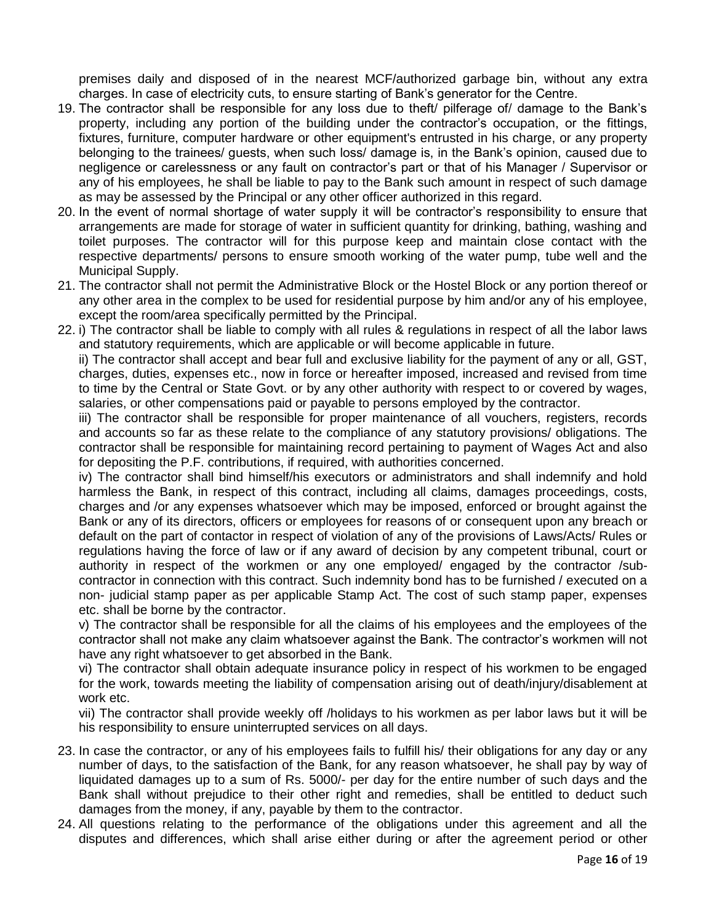premises daily and disposed of in the nearest MCF/authorized garbage bin, without any extra charges. In case of electricity cuts, to ensure starting of Bank's generator for the Centre.

- 19. The contractor shall be responsible for any loss due to theft/ pilferage of/ damage to the Bank's property, including any portion of the building under the contractor's occupation, or the fittings, fixtures, furniture, computer hardware or other equipment's entrusted in his charge, or any property belonging to the trainees/ guests, when such loss/ damage is, in the Bank's opinion, caused due to negligence or carelessness or any fault on contractor's part or that of his Manager / Supervisor or any of his employees, he shall be liable to pay to the Bank such amount in respect of such damage as may be assessed by the Principal or any other officer authorized in this regard.
- 20. In the event of normal shortage of water supply it will be contractor's responsibility to ensure that arrangements are made for storage of water in sufficient quantity for drinking, bathing, washing and toilet purposes. The contractor will for this purpose keep and maintain close contact with the respective departments/ persons to ensure smooth working of the water pump, tube well and the Municipal Supply.
- 21. The contractor shall not permit the Administrative Block or the Hostel Block or any portion thereof or any other area in the complex to be used for residential purpose by him and/or any of his employee, except the room/area specifically permitted by the Principal.
- 22. i) The contractor shall be liable to comply with all rules & regulations in respect of all the labor laws and statutory requirements, which are applicable or will become applicable in future.

ii) The contractor shall accept and bear full and exclusive liability for the payment of any or all, GST, charges, duties, expenses etc., now in force or hereafter imposed, increased and revised from time to time by the Central or State Govt. or by any other authority with respect to or covered by wages, salaries, or other compensations paid or payable to persons employed by the contractor.

iii) The contractor shall be responsible for proper maintenance of all vouchers, registers, records and accounts so far as these relate to the compliance of any statutory provisions/ obligations. The contractor shall be responsible for maintaining record pertaining to payment of Wages Act and also for depositing the P.F. contributions, if required, with authorities concerned.

iv) The contractor shall bind himself/his executors or administrators and shall indemnify and hold harmless the Bank, in respect of this contract, including all claims, damages proceedings, costs, charges and /or any expenses whatsoever which may be imposed, enforced or brought against the Bank or any of its directors, officers or employees for reasons of or consequent upon any breach or default on the part of contactor in respect of violation of any of the provisions of Laws/Acts/ Rules or regulations having the force of law or if any award of decision by any competent tribunal, court or authority in respect of the workmen or any one employed/ engaged by the contractor /subcontractor in connection with this contract. Such indemnity bond has to be furnished / executed on a non- judicial stamp paper as per applicable Stamp Act. The cost of such stamp paper, expenses etc. shall be borne by the contractor.

v) The contractor shall be responsible for all the claims of his employees and the employees of the contractor shall not make any claim whatsoever against the Bank. The contractor's workmen will not have any right whatsoever to get absorbed in the Bank.

vi) The contractor shall obtain adequate insurance policy in respect of his workmen to be engaged for the work, towards meeting the liability of compensation arising out of death/injury/disablement at work etc.

vii) The contractor shall provide weekly off /holidays to his workmen as per labor laws but it will be his responsibility to ensure uninterrupted services on all days.

- 23. In case the contractor, or any of his employees fails to fulfill his/ their obligations for any day or any number of days, to the satisfaction of the Bank, for any reason whatsoever, he shall pay by way of liquidated damages up to a sum of Rs. 5000/- per day for the entire number of such days and the Bank shall without prejudice to their other right and remedies, shall be entitled to deduct such damages from the money, if any, payable by them to the contractor.
- 24. All questions relating to the performance of the obligations under this agreement and all the disputes and differences, which shall arise either during or after the agreement period or other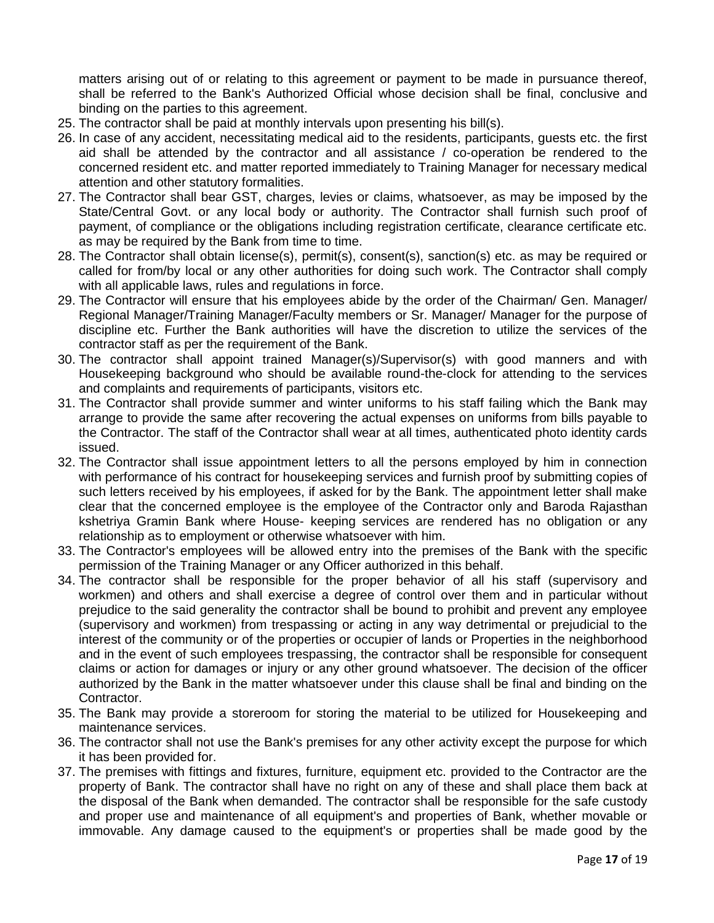matters arising out of or relating to this agreement or payment to be made in pursuance thereof, shall be referred to the Bank's Authorized Official whose decision shall be final, conclusive and binding on the parties to this agreement.

- 25. The contractor shall be paid at monthly intervals upon presenting his bill(s).
- 26. In case of any accident, necessitating medical aid to the residents, participants, guests etc. the first aid shall be attended by the contractor and all assistance / co-operation be rendered to the concerned resident etc. and matter reported immediately to Training Manager for necessary medical attention and other statutory formalities.
- 27. The Contractor shall bear GST, charges, levies or claims, whatsoever, as may be imposed by the State/Central Govt. or any local body or authority. The Contractor shall furnish such proof of payment, of compliance or the obligations including registration certificate, clearance certificate etc. as may be required by the Bank from time to time.
- 28. The Contractor shall obtain license(s), permit(s), consent(s), sanction(s) etc. as may be required or called for from/by local or any other authorities for doing such work. The Contractor shall comply with all applicable laws, rules and regulations in force.
- 29. The Contractor will ensure that his employees abide by the order of the Chairman/ Gen. Manager/ Regional Manager/Training Manager/Faculty members or Sr. Manager/ Manager for the purpose of discipline etc. Further the Bank authorities will have the discretion to utilize the services of the contractor staff as per the requirement of the Bank.
- 30. The contractor shall appoint trained Manager(s)/Supervisor(s) with good manners and with Housekeeping background who should be available round-the-clock for attending to the services and complaints and requirements of participants, visitors etc.
- 31. The Contractor shall provide summer and winter uniforms to his staff failing which the Bank may arrange to provide the same after recovering the actual expenses on uniforms from bills payable to the Contractor. The staff of the Contractor shall wear at all times, authenticated photo identity cards issued.
- 32. The Contractor shall issue appointment letters to all the persons employed by him in connection with performance of his contract for housekeeping services and furnish proof by submitting copies of such letters received by his employees, if asked for by the Bank. The appointment letter shall make clear that the concerned employee is the employee of the Contractor only and Baroda Rajasthan kshetriya Gramin Bank where House- keeping services are rendered has no obligation or any relationship as to employment or otherwise whatsoever with him.
- 33. The Contractor's employees will be allowed entry into the premises of the Bank with the specific permission of the Training Manager or any Officer authorized in this behalf.
- 34. The contractor shall be responsible for the proper behavior of all his staff (supervisory and workmen) and others and shall exercise a degree of control over them and in particular without prejudice to the said generality the contractor shall be bound to prohibit and prevent any employee (supervisory and workmen) from trespassing or acting in any way detrimental or prejudicial to the interest of the community or of the properties or occupier of lands or Properties in the neighborhood and in the event of such employees trespassing, the contractor shall be responsible for consequent claims or action for damages or injury or any other ground whatsoever. The decision of the officer authorized by the Bank in the matter whatsoever under this clause shall be final and binding on the Contractor.
- 35. The Bank may provide a storeroom for storing the material to be utilized for Housekeeping and maintenance services.
- 36. The contractor shall not use the Bank's premises for any other activity except the purpose for which it has been provided for.
- 37. The premises with fittings and fixtures, furniture, equipment etc. provided to the Contractor are the property of Bank. The contractor shall have no right on any of these and shall place them back at the disposal of the Bank when demanded. The contractor shall be responsible for the safe custody and proper use and maintenance of all equipment's and properties of Bank, whether movable or immovable. Any damage caused to the equipment's or properties shall be made good by the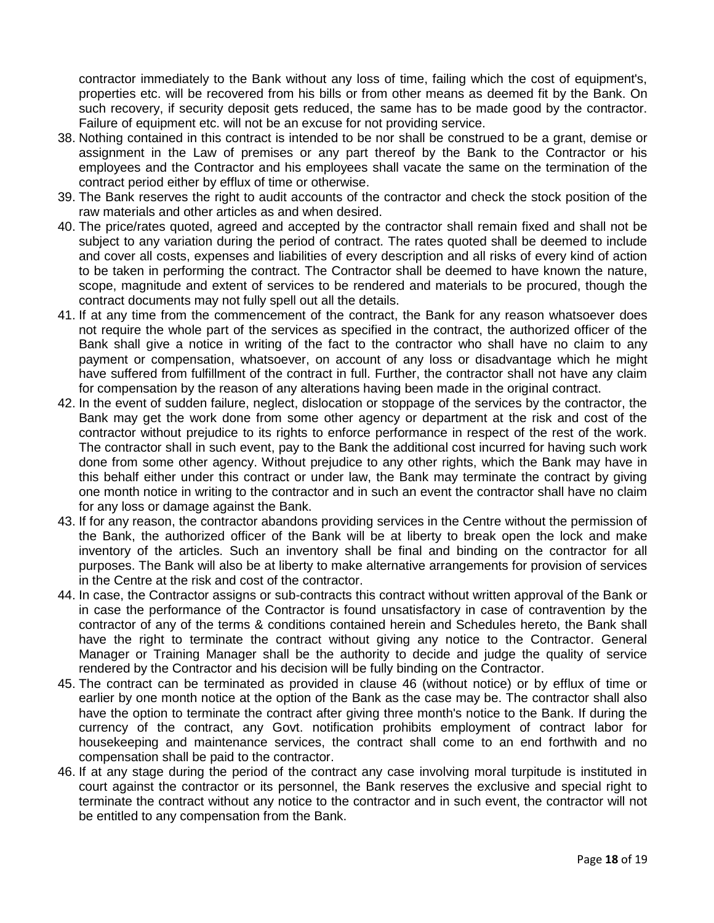contractor immediately to the Bank without any loss of time, failing which the cost of equipment's, properties etc. will be recovered from his bills or from other means as deemed fit by the Bank. On such recovery, if security deposit gets reduced, the same has to be made good by the contractor. Failure of equipment etc. will not be an excuse for not providing service.

- 38. Nothing contained in this contract is intended to be nor shall be construed to be a grant, demise or assignment in the Law of premises or any part thereof by the Bank to the Contractor or his employees and the Contractor and his employees shall vacate the same on the termination of the contract period either by efflux of time or otherwise.
- 39. The Bank reserves the right to audit accounts of the contractor and check the stock position of the raw materials and other articles as and when desired.
- 40. The price/rates quoted, agreed and accepted by the contractor shall remain fixed and shall not be subject to any variation during the period of contract. The rates quoted shall be deemed to include and cover all costs, expenses and liabilities of every description and all risks of every kind of action to be taken in performing the contract. The Contractor shall be deemed to have known the nature, scope, magnitude and extent of services to be rendered and materials to be procured, though the contract documents may not fully spell out all the details.
- 41. If at any time from the commencement of the contract, the Bank for any reason whatsoever does not require the whole part of the services as specified in the contract, the authorized officer of the Bank shall give a notice in writing of the fact to the contractor who shall have no claim to any payment or compensation, whatsoever, on account of any loss or disadvantage which he might have suffered from fulfillment of the contract in full. Further, the contractor shall not have any claim for compensation by the reason of any alterations having been made in the original contract.
- 42. In the event of sudden failure, neglect, dislocation or stoppage of the services by the contractor, the Bank may get the work done from some other agency or department at the risk and cost of the contractor without prejudice to its rights to enforce performance in respect of the rest of the work. The contractor shall in such event, pay to the Bank the additional cost incurred for having such work done from some other agency. Without prejudice to any other rights, which the Bank may have in this behalf either under this contract or under law, the Bank may terminate the contract by giving one month notice in writing to the contractor and in such an event the contractor shall have no claim for any loss or damage against the Bank.
- 43. If for any reason, the contractor abandons providing services in the Centre without the permission of the Bank, the authorized officer of the Bank will be at liberty to break open the lock and make inventory of the articles. Such an inventory shall be final and binding on the contractor for all purposes. The Bank will also be at liberty to make alternative arrangements for provision of services in the Centre at the risk and cost of the contractor.
- 44. In case, the Contractor assigns or sub-contracts this contract without written approval of the Bank or in case the performance of the Contractor is found unsatisfactory in case of contravention by the contractor of any of the terms & conditions contained herein and Schedules hereto, the Bank shall have the right to terminate the contract without giving any notice to the Contractor. General Manager or Training Manager shall be the authority to decide and judge the quality of service rendered by the Contractor and his decision will be fully binding on the Contractor.
- 45. The contract can be terminated as provided in clause 46 (without notice) or by efflux of time or earlier by one month notice at the option of the Bank as the case may be. The contractor shall also have the option to terminate the contract after giving three month's notice to the Bank. If during the currency of the contract, any Govt. notification prohibits employment of contract labor for housekeeping and maintenance services, the contract shall come to an end forthwith and no compensation shall be paid to the contractor.
- 46. If at any stage during the period of the contract any case involving moral turpitude is instituted in court against the contractor or its personnel, the Bank reserves the exclusive and special right to terminate the contract without any notice to the contractor and in such event, the contractor will not be entitled to any compensation from the Bank.